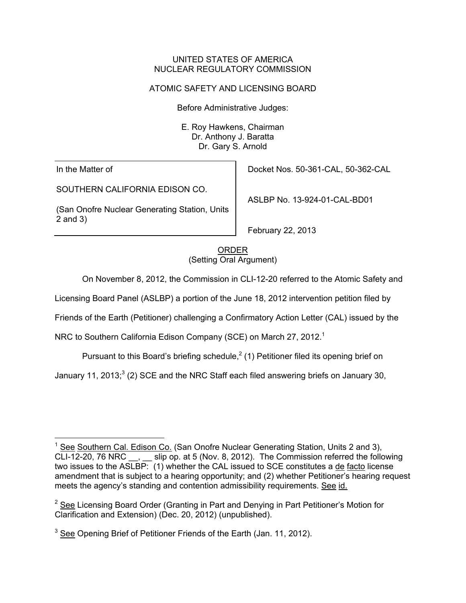## UNITED STATES OF AMERICA NUCLEAR REGULATORY COMMISSION

# ATOMIC SAFETY AND LICENSING BOARD

Before Administrative Judges:

E. Roy Hawkens, Chairman Dr. Anthony J. Baratta Dr. Gary S. Arnold

In the Matter of

SOUTHERN CALIFORNIA EDISON CO.

(San Onofre Nuclear Generating Station, Units 2 and 3)

Docket Nos. 50-361-CAL, 50-362-CAL

ASLBP No. 13-924-01-CAL-BD01

February 22, 2013

ORDER (Setting Oral Argument)

On November 8, 2012, the Commission in CLI-12-20 referred to the Atomic Safety and

Licensing Board Panel (ASLBP) a portion of the June 18, 2012 intervention petition filed by

Friends of the Earth (Petitioner) challenging a Confirmatory Action Letter (CAL) issued by the

NRC to Southern California Edison Company (SCE) on March 27, 2012.<sup>1</sup>

Pursuant to this Board's briefing schedule, $^2$  (1) Petitioner filed its opening brief on

January 11, 2013;<sup>3</sup> (2) SCE and the NRC Staff each filed answering briefs on January 30,

 $\overline{a}$ <sup>1</sup> See Southern Cal. Edison Co. (San Onofre Nuclear Generating Station, Units 2 and 3), CLI-12-20, 76 NRC \_\_, \_\_ slip op. at 5 (Nov. 8, 2012). The Commission referred the following two issues to the ASLBP: (1) whether the CAL issued to SCE constitutes a de facto license amendment that is subject to a hearing opportunity; and (2) whether Petitioner's hearing request meets the agency's standing and contention admissibility requirements. See id.

 $2$  See Licensing Board Order (Granting in Part and Denying in Part Petitioner's Motion for Clarification and Extension) (Dec. 20, 2012) (unpublished).

 $3$  See Opening Brief of Petitioner Friends of the Earth (Jan. 11, 2012).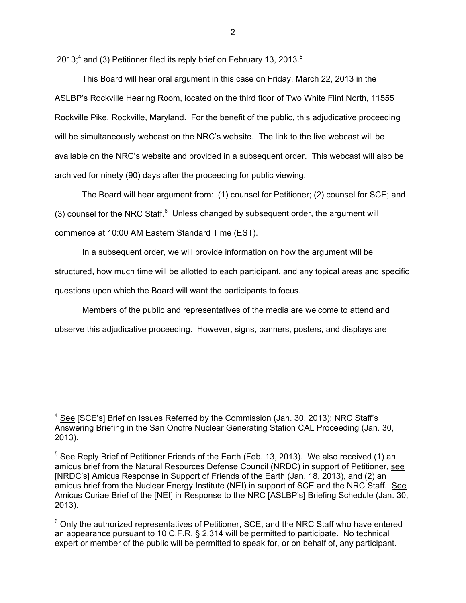2013;<sup>4</sup> and (3) Petitioner filed its reply brief on February 13, 2013.<sup>5</sup>

 This Board will hear oral argument in this case on Friday, March 22, 2013 in the ASLBP's Rockville Hearing Room, located on the third floor of Two White Flint North, 11555 Rockville Pike, Rockville, Maryland. For the benefit of the public, this adjudicative proceeding will be simultaneously webcast on the NRC's website. The link to the live webcast will be available on the NRC's website and provided in a subsequent order. This webcast will also be archived for ninety (90) days after the proceeding for public viewing.

 The Board will hear argument from: (1) counsel for Petitioner; (2) counsel for SCE; and (3) counsel for the NRC Staff. $6$  Unless changed by subsequent order, the argument will commence at 10:00 AM Eastern Standard Time (EST).

 In a subsequent order, we will provide information on how the argument will be structured, how much time will be allotted to each participant, and any topical areas and specific questions upon which the Board will want the participants to focus.

 Members of the public and representatives of the media are welcome to attend and observe this adjudicative proceeding. However, signs, banners, posters, and displays are

 $\overline{a}$ 

<sup>&</sup>lt;sup>4</sup> See [SCE's] Brief on Issues Referred by the Commission (Jan. 30, 2013); NRC Staff's Answering Briefing in the San Onofre Nuclear Generating Station CAL Proceeding (Jan. 30, 2013).

 $5$  See Reply Brief of Petitioner Friends of the Earth (Feb. 13, 2013). We also received (1) an amicus brief from the Natural Resources Defense Council (NRDC) in support of Petitioner, see [NRDC's] Amicus Response in Support of Friends of the Earth (Jan. 18, 2013), and (2) an amicus brief from the Nuclear Energy Institute (NEI) in support of SCE and the NRC Staff. See Amicus Curiae Brief of the [NEI] in Response to the NRC [ASLBP's] Briefing Schedule (Jan. 30, 2013).

 $6$  Only the authorized representatives of Petitioner, SCE, and the NRC Staff who have entered an appearance pursuant to 10 C.F.R. § 2.314 will be permitted to participate. No technical expert or member of the public will be permitted to speak for, or on behalf of, any participant.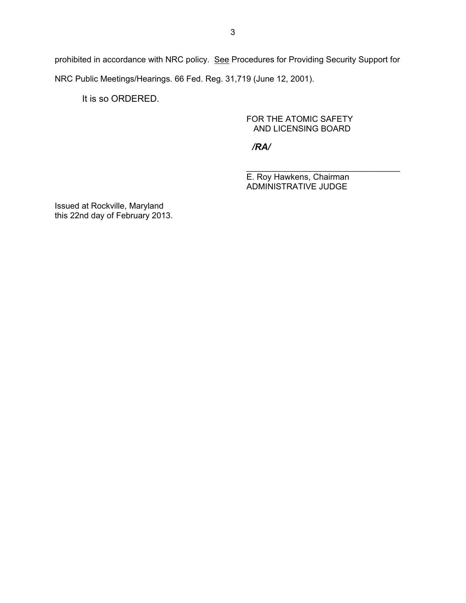prohibited in accordance with NRC policy. See Procedures for Providing Security Support for NRC Public Meetings/Hearings. 66 Fed. Reg. 31,719 (June 12, 2001).

It is so ORDERED.

## FOR THE ATOMIC SAFETY AND LICENSING BOARD

*/RA/*

 $\overline{\phantom{a}}$  , and the contract of the contract of the contract of the contract of the contract of the contract of the contract of the contract of the contract of the contract of the contract of the contract of the contrac E. Roy Hawkens, Chairman ADMINISTRATIVE JUDGE

Issued at Rockville, Maryland this 22nd day of February 2013.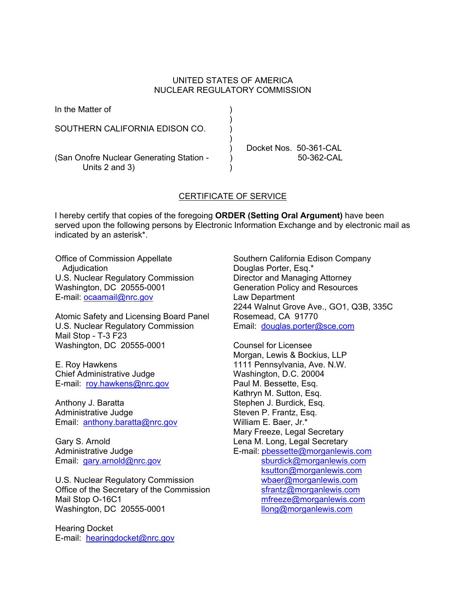## UNITED STATES OF AMERICA NUCLEAR REGULATORY COMMISSION

| In the Matter of                                           |  |                        |
|------------------------------------------------------------|--|------------------------|
| SOUTHERN CALIFORNIA EDISON CO.                             |  |                        |
|                                                            |  | Docket Nos. 50-361-CAL |
| (San Onofre Nuclear Generating Station -<br>Units 2 and 3) |  | $50-362-CAL$           |

## CERTIFICATE OF SERVICE

I hereby certify that copies of the foregoing **ORDER (Setting Oral Argument)** have been served upon the following persons by Electronic Information Exchange and by electronic mail as indicated by an asterisk\*.

Office of Commission Appellate Adjudication U.S. Nuclear Regulatory Commission Washington, DC 20555-0001 E-mail: ocaamail@nrc.gov

Atomic Safety and Licensing Board Panel U.S. Nuclear Regulatory Commission Mail Stop - T-3 F23 Washington, DC 20555-0001

E. Roy Hawkens Chief Administrative Judge E-mail: roy.hawkens@nrc.gov

Anthony J. Baratta Administrative Judge Email: anthony.baratta@nrc.gov

Gary S. Arnold Administrative Judge Email: gary.arnold@nrc.gov

U.S. Nuclear Regulatory Commission Office of the Secretary of the Commission Mail Stop O-16C1 Washington, DC 20555-0001

Hearing Docket E-mail: hearingdocket@nrc.gov Southern California Edison Company Douglas Porter, Esq.\* Director and Managing Attorney Generation Policy and Resources Law Department 2244 Walnut Grove Ave., GO1, Q3B, 335C Rosemead, CA 91770 Email: douglas.porter@sce.com

Counsel for Licensee Morgan, Lewis & Bockius, LLP 1111 Pennsylvania, Ave. N.W. Washington, D.C. 20004 Paul M. Bessette, Esq. Kathryn M. Sutton, Esq. Stephen J. Burdick, Esq. Steven P. Frantz, Esq. William E. Baer, Jr.\* Mary Freeze, Legal Secretary Lena M. Long, Legal Secretary E-mail: pbessette@morganlewis.com sburdick@morganlewis.com ksutton@morganlewis.com wbaer@morganlewis.com sfrantz@morganlewis.com mfreeze@morganlewis.com llong@morganlewis.com